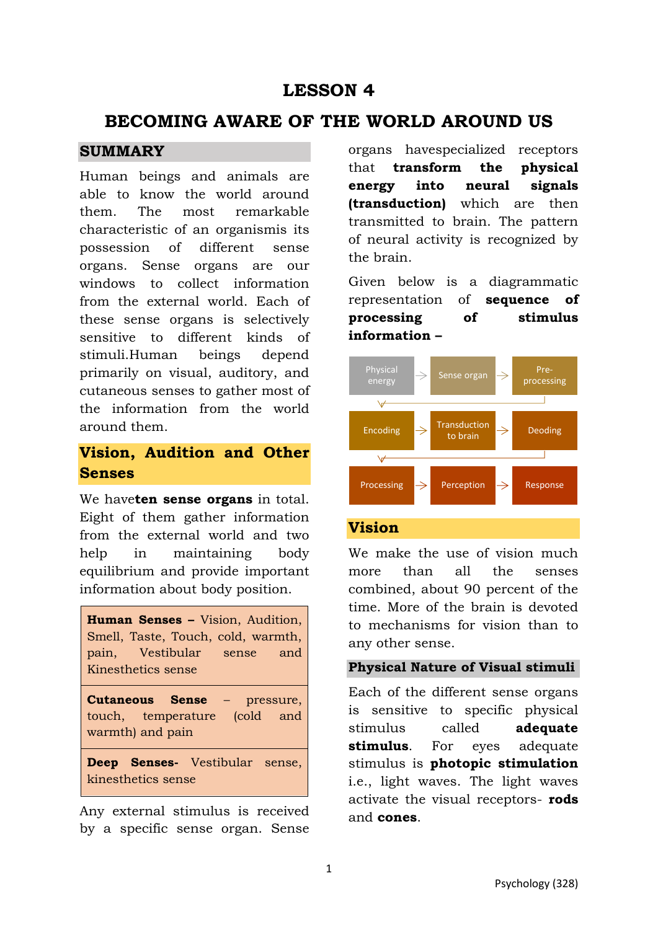# **LESSON 4**

# **BECOMING AWARE OF THE WORLD AROUND US**

## **SUMMARY**

Human beings and animals are able to know the world around them. The most remarkable characteristic of an organismis its possession of different sense organs. Sense organs are our windows to collect information from the external world. Each of these sense organs is selectively sensitive to different kinds of stimuli.Human beings depend primarily on visual, auditory, and cutaneous senses to gather most of the information from the world around them.

## **Vision, Audition and Other Senses**

We have**ten sense organs** in total. Eight of them gather information from the external world and two help in maintaining body equilibrium and provide important information about body position.

**Human Senses –** Vision, Audition, Smell, Taste, Touch, cold, warmth, pain, Vestibular sense and Kinesthetics sense

**Cutaneous Sense** – pressure, touch, temperature (cold and warmth) and pain

**Deep Senses-** Vestibular sense, kinesthetics sense

Any external stimulus is received by a specific sense organ. Sense organs havespecialized receptors that **transform the physical energy into neural signals (transduction)** which are then transmitted to brain. The pattern of neural activity is recognized by the brain.

Given below is a diagrammatic representation of **sequence of processing of stimulus information –**



## **Vision**

We make the use of vision much more than all the senses combined, about 90 percent of the time. More of the brain is devoted to mechanisms for vision than to any other sense.

### **Physical Nature of Visual stimuli**

Each of the different sense organs is sensitive to specific physical stimulus called **adequate stimulus**. For eyes adequate stimulus is **photopic stimulation** i.e., light waves. The light waves activate the visual receptors- **rods** and **cones**.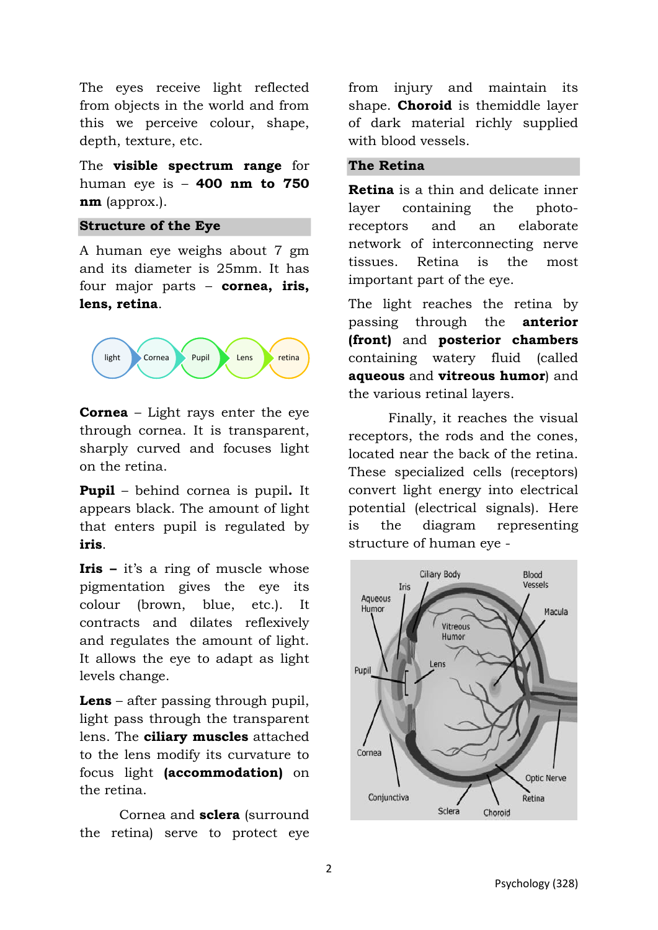The eyes receive light reflected from objects in the world and from this we perceive colour, shape, depth, texture, etc.

The **visible spectrum range** for human eye is – **400 nm to 750 nm** (approx.).

#### **Structure of the Eye**

A human eye weighs about 7 gm and its diameter is 25mm. It has four major parts – **cornea, iris, lens, retina**.



**Cornea** – Light rays enter the eye through cornea. It is transparent, sharply curved and focuses light on the retina.

**Pupil** – behind cornea is pupil**.** It appears black. The amount of light that enters pupil is regulated by **iris**.

**Iris –** it's a ring of muscle whose pigmentation gives the eye its colour (brown, blue, etc.). It contracts and dilates reflexively and regulates the amount of light. It allows the eye to adapt as light levels change.

**Lens** – after passing through pupil, light pass through the transparent lens. The **ciliary muscles** attached to the lens modify its curvature to focus light **(accommodation)** on the retina.

Cornea and **sclera** (surround the retina) serve to protect eye from injury and maintain its shape. **Choroid** is themiddle layer of dark material richly supplied with blood vessels.

#### **The Retina**

**Retina** is a thin and delicate inner layer containing the photoreceptors and an elaborate network of interconnecting nerve tissues. Retina is the most important part of the eye.

The light reaches the retina by passing through the **anterior (front)** and **posterior chambers** containing watery fluid (called **aqueous** and **vitreous humor**) and the various retinal layers.

Finally, it reaches the visual receptors, the rods and the cones, located near the back of the retina. These specialized cells (receptors) convert light energy into electrical potential (electrical signals). Here is the diagram representing structure of human eye -

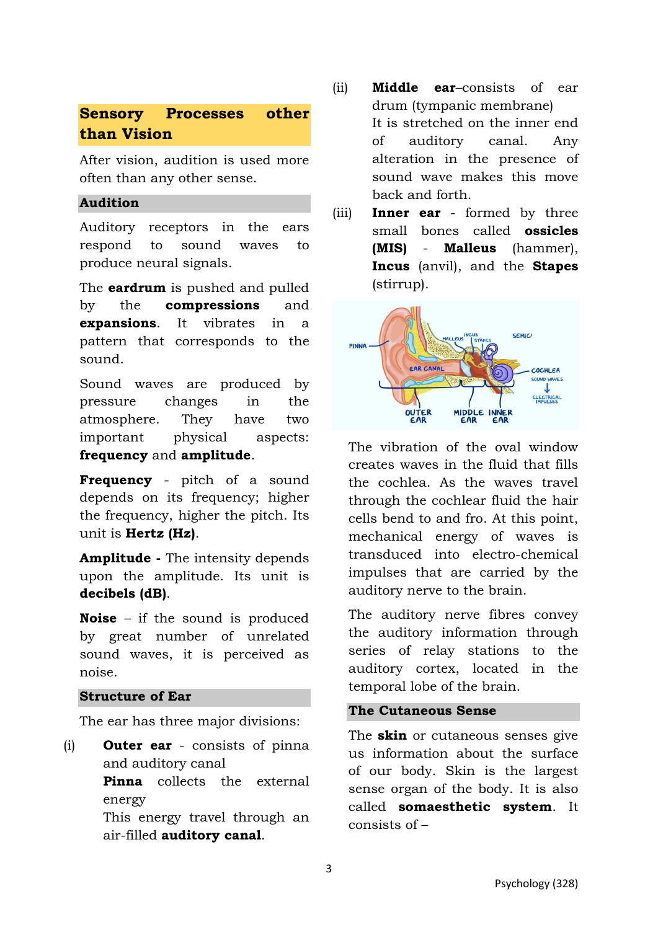## **Sensory Processes other than Vision**

After vision, audition is used more often than any other sense.

### **Audition**

Auditory receptors in the ears respond to sound waves to produce neural signals.

The **eardrum** is pushed and pulled by the **compressions** and **expansions**. It vibrates in a pattern that corresponds to the sound.

Sound waves are produced by pressure changes in the atmosphere. They have two important physical aspects: **frequency** and **amplitude**.

**Frequency** - pitch of a sound depends on its frequency; higher the frequency, higher the pitch. Its unit is **Hertz (Hz)**.

**Amplitude -** The intensity depends upon the amplitude. Its unit is **decibels (dB)**.

**Noise** – if the sound is produced by great number of unrelated sound waves, it is perceived as noise.

#### **Structure of Ear**

The ear has three major divisions:

(i) **Outer ear** - consists of pinna and auditory canal **Pinna** collects the external energy This energy travel through an air-filled **auditory canal**.

- (ii) **Middle ear**–consists of ear drum (tympanic membrane) It is stretched on the inner end of auditory canal. Any alteration in the presence of sound wave makes this move back and forth.
- (iii) **Inner ear** formed by three small bones called **ossicles (MIS)** - **Malleus** (hammer), **Incus** (anvil), and the **Stapes** (stirrup).



The vibration of the oval window creates waves in the fluid that fills the cochlea. As the waves travel through the cochlear fluid the hair cells bend to and fro. At this point, mechanical energy of waves is transduced into electro-chemical impulses that are carried by the auditory nerve to the brain.

The auditory nerve fibres convey the auditory information through series of relay stations to the auditory cortex, located in the temporal lobe of the brain.

### **The Cutaneous Sense**

The **skin** or cutaneous senses give us information about the surface of our body. Skin is the largest sense organ of the body. It is also called **somaesthetic system**. It consists of –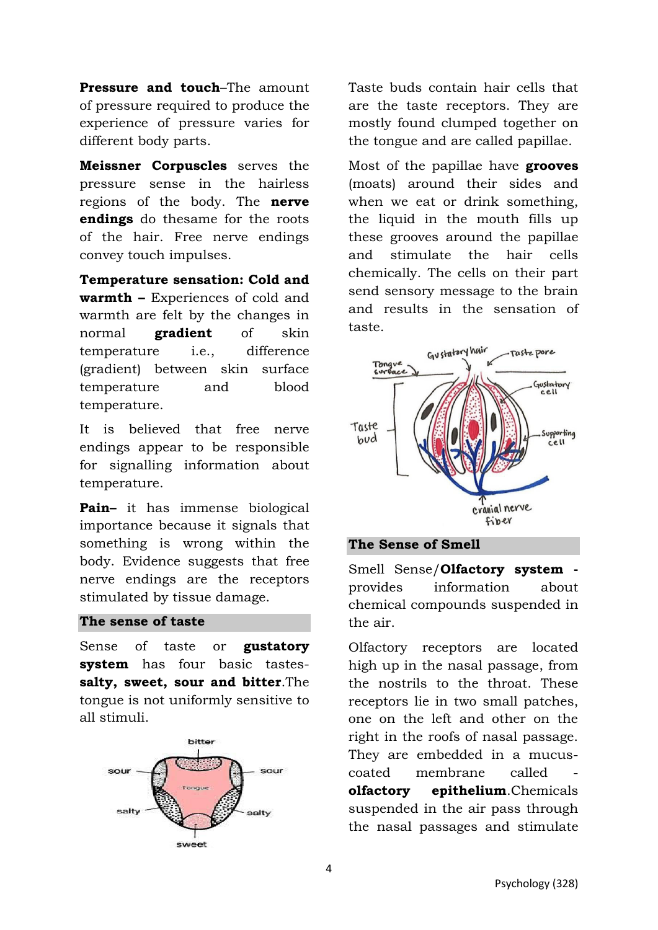**Pressure and touch**–The amount of pressure required to produce the experience of pressure varies for different body parts.

**Meissner Corpuscles** serves the pressure sense in the hairless regions of the body. The **nerve endings** do thesame for the roots of the hair. Free nerve endings convey touch impulses.

**Temperature sensation: Cold and warmth –** Experiences of cold and warmth are felt by the changes in normal **gradient** of skin temperature i.e., difference (gradient) between skin surface temperature and blood temperature.

It is believed that free nerve endings appear to be responsible for signalling information about temperature.

**Pain–** it has immense biological importance because it signals that something is wrong within the body. Evidence suggests that free nerve endings are the receptors stimulated by tissue damage.

### **The sense of taste**

Sense of taste or **gustatory system** has four basic tastes**salty, sweet, sour and bitter**.The tongue is not uniformly sensitive to all stimuli.



Taste buds contain hair cells that are the taste receptors. They are mostly found clumped together on the tongue and are called papillae.

Most of the papillae have **grooves** (moats) around their sides and when we eat or drink something. the liquid in the mouth fills up these grooves around the papillae and stimulate the hair cells chemically. The cells on their part send sensory message to the brain and results in the sensation of taste.



**The Sense of Smell** 

Smell Sense/**Olfactory system**  provides information about chemical compounds suspended in the air.

Olfactory receptors are located high up in the nasal passage, from the nostrils to the throat. These receptors lie in two small patches, one on the left and other on the right in the roofs of nasal passage. They are embedded in a mucuscoated membrane called **olfactory epithelium**.Chemicals suspended in the air pass through the nasal passages and stimulate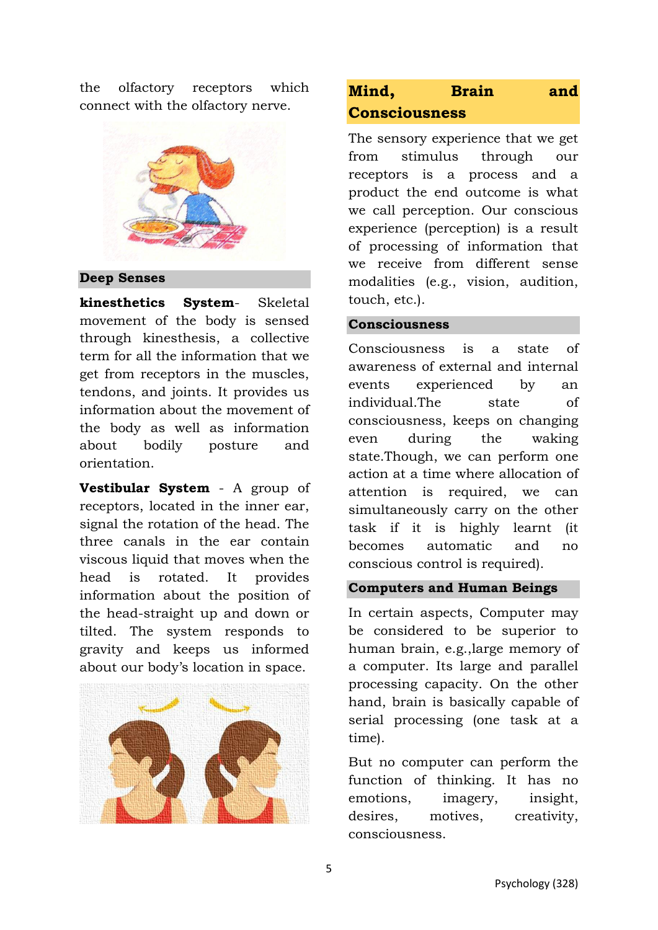the olfactory receptors which connect with the olfactory nerve.



#### **Deep Senses**

**kinesthetics System**- Skeletal movement of the body is sensed through kinesthesis, a collective term for all the information that we get from receptors in the muscles, tendons, and joints. It provides us information about the movement of the body as well as information about bodily posture and orientation.

**Vestibular System** - A group of receptors, located in the inner ear, signal the rotation of the head. The three canals in the ear contain viscous liquid that moves when the head is rotated. It provides information about the position of the head-straight up and down or tilted. The system responds to gravity and keeps us informed about our body's location in space.



## **Mind, Brain and Consciousness**

The sensory experience that we get from stimulus through our receptors is a process and a product the end outcome is what we call perception. Our conscious experience (perception) is a result of processing of information that we receive from different sense modalities (e.g., vision, audition, touch, etc.).

#### **Consciousness**

Consciousness is a state of awareness of external and internal events experienced by an individual.The state of consciousness, keeps on changing even during the waking state.Though, we can perform one action at a time where allocation of attention is required, we can simultaneously carry on the other task if it is highly learnt (it becomes automatic and no conscious control is required).

#### **Computers and Human Beings**

In certain aspects, Computer may be considered to be superior to human brain, e.g.,large memory of a computer. Its large and parallel processing capacity. On the other hand, brain is basically capable of serial processing (one task at a time).

But no computer can perform the function of thinking. It has no emotions, imagery, insight, desires, motives, creativity, consciousness.